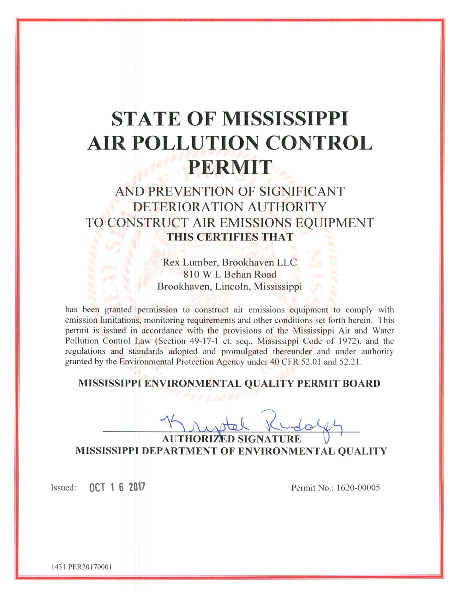# **STATE OF MISSISSIPPI AIR POLLUTION CONTROL** PERMIT

# AND PREVENTION OF SIGNIFICANT DETERIORATION AUTHORITY TO CONSTRUCT AIR EMISSIONS EQUIPMENT THIS CERTIFIES THAT

Rex Lumber, Brookhaven LLC 810 W L Behan Road Brookhaven, Lincoln, Mississippi

has been granted permission to construct air emissions equipment to comply with emission limitations, monitoring requirements and other conditions set forth herein. This permit is issued in accordance with the provisions of the Mississippi Air and Water Pollution Control Law (Section 49-17-1 et. seq., Mississippi Code of 1972), and the regulations and standards adopted and promulgated thereunder and under authority granted by the Environmental Protection Agency under 40 CFR 52.01 and 52.21.

MISSISSIPPI ENVIRONMENTAL QUALITY PERMIT BOARD

**AUTHORIZ** MISSISSIPPI DEPARTMENT OF ENVIRONMENTAL QUALITY

OCT 1 6 2017 Issued:

Permit No.: 1620-00005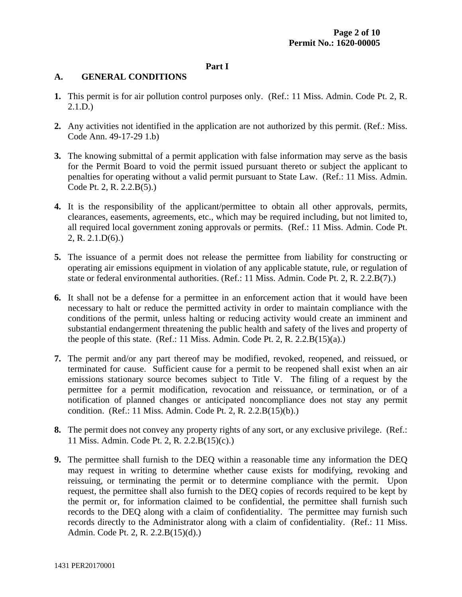#### **Part I**

# **A. GENERAL CONDITIONS**

- **1.** This permit is for air pollution control purposes only. (Ref.: 11 Miss. Admin. Code Pt. 2, R. 2.1.D.)
- **2.** Any activities not identified in the application are not authorized by this permit. (Ref.: Miss. Code Ann. 49-17-29 1.b)
- **3.** The knowing submittal of a permit application with false information may serve as the basis for the Permit Board to void the permit issued pursuant thereto or subject the applicant to penalties for operating without a valid permit pursuant to State Law. (Ref.: 11 Miss. Admin. Code Pt. 2, R. 2.2.B(5).)
- **4.** It is the responsibility of the applicant/permittee to obtain all other approvals, permits, clearances, easements, agreements, etc., which may be required including, but not limited to, all required local government zoning approvals or permits. (Ref.: 11 Miss. Admin. Code Pt. 2, R. 2.1.D(6).)
- **5.** The issuance of a permit does not release the permittee from liability for constructing or operating air emissions equipment in violation of any applicable statute, rule, or regulation of state or federal environmental authorities. (Ref.: 11 Miss. Admin. Code Pt. 2, R. 2.2.B(7).)
- **6.** It shall not be a defense for a permittee in an enforcement action that it would have been necessary to halt or reduce the permitted activity in order to maintain compliance with the conditions of the permit, unless halting or reducing activity would create an imminent and substantial endangerment threatening the public health and safety of the lives and property of the people of this state. (Ref.: 11 Miss. Admin. Code Pt. 2, R. 2.2. $B(15)(a)$ .)
- **7.** The permit and/or any part thereof may be modified, revoked, reopened, and reissued, or terminated for cause. Sufficient cause for a permit to be reopened shall exist when an air emissions stationary source becomes subject to Title V. The filing of a request by the permittee for a permit modification, revocation and reissuance, or termination, or of a notification of planned changes or anticipated noncompliance does not stay any permit condition. (Ref.: 11 Miss. Admin. Code Pt. 2, R. 2.2.B(15)(b).)
- **8.** The permit does not convey any property rights of any sort, or any exclusive privilege. (Ref.: 11 Miss. Admin. Code Pt. 2, R. 2.2.B(15)(c).)
- **9.** The permittee shall furnish to the DEQ within a reasonable time any information the DEQ may request in writing to determine whether cause exists for modifying, revoking and reissuing, or terminating the permit or to determine compliance with the permit. Upon request, the permittee shall also furnish to the DEQ copies of records required to be kept by the permit or, for information claimed to be confidential, the permittee shall furnish such records to the DEQ along with a claim of confidentiality. The permittee may furnish such records directly to the Administrator along with a claim of confidentiality. (Ref.: 11 Miss. Admin. Code Pt. 2, R. 2.2.B(15)(d).)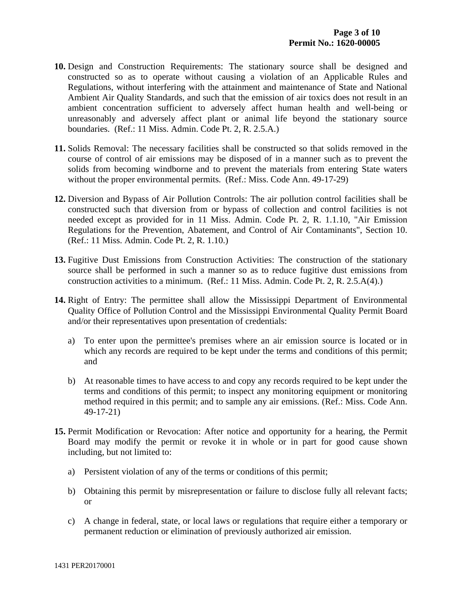- **10.** Design and Construction Requirements: The stationary source shall be designed and constructed so as to operate without causing a violation of an Applicable Rules and Regulations, without interfering with the attainment and maintenance of State and National Ambient Air Quality Standards, and such that the emission of air toxics does not result in an ambient concentration sufficient to adversely affect human health and well-being or unreasonably and adversely affect plant or animal life beyond the stationary source boundaries. (Ref.: 11 Miss. Admin. Code Pt. 2, R. 2.5.A.)
- **11.** Solids Removal: The necessary facilities shall be constructed so that solids removed in the course of control of air emissions may be disposed of in a manner such as to prevent the solids from becoming windborne and to prevent the materials from entering State waters without the proper environmental permits. (Ref.: Miss. Code Ann. 49-17-29)
- **12.** Diversion and Bypass of Air Pollution Controls: The air pollution control facilities shall be constructed such that diversion from or bypass of collection and control facilities is not needed except as provided for in 11 Miss. Admin. Code Pt. 2, R. 1.1.10, "Air Emission Regulations for the Prevention, Abatement, and Control of Air Contaminants", Section 10. (Ref.: 11 Miss. Admin. Code Pt. 2, R. 1.10.)
- **13.** Fugitive Dust Emissions from Construction Activities: The construction of the stationary source shall be performed in such a manner so as to reduce fugitive dust emissions from construction activities to a minimum. (Ref.: 11 Miss. Admin. Code Pt. 2, R. 2.5.A(4).)
- **14.** Right of Entry: The permittee shall allow the Mississippi Department of Environmental Quality Office of Pollution Control and the Mississippi Environmental Quality Permit Board and/or their representatives upon presentation of credentials:
	- a) To enter upon the permittee's premises where an air emission source is located or in which any records are required to be kept under the terms and conditions of this permit; and
	- b) At reasonable times to have access to and copy any records required to be kept under the terms and conditions of this permit; to inspect any monitoring equipment or monitoring method required in this permit; and to sample any air emissions. (Ref.: Miss. Code Ann. 49-17-21)
- **15.** Permit Modification or Revocation: After notice and opportunity for a hearing, the Permit Board may modify the permit or revoke it in whole or in part for good cause shown including, but not limited to:
	- a) Persistent violation of any of the terms or conditions of this permit;
	- b) Obtaining this permit by misrepresentation or failure to disclose fully all relevant facts; or
	- c) A change in federal, state, or local laws or regulations that require either a temporary or permanent reduction or elimination of previously authorized air emission.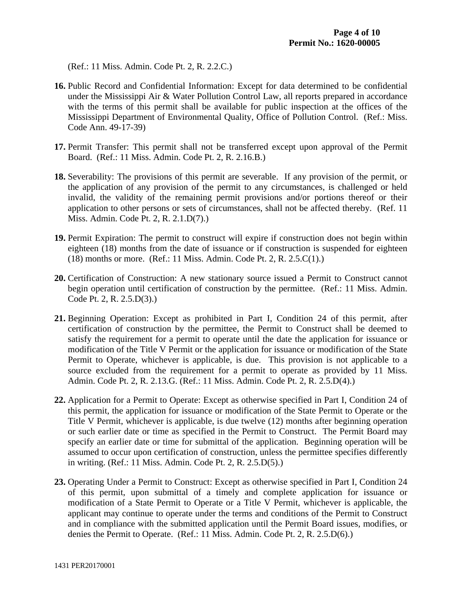(Ref.: 11 Miss. Admin. Code Pt. 2, R. 2.2.C.)

- **16.** Public Record and Confidential Information: Except for data determined to be confidential under the Mississippi Air & Water Pollution Control Law, all reports prepared in accordance with the terms of this permit shall be available for public inspection at the offices of the Mississippi Department of Environmental Quality, Office of Pollution Control. (Ref.: Miss. Code Ann. 49-17-39)
- **17.** Permit Transfer: This permit shall not be transferred except upon approval of the Permit Board. (Ref.: 11 Miss. Admin. Code Pt. 2, R. 2.16.B.)
- **18.** Severability: The provisions of this permit are severable. If any provision of the permit, or the application of any provision of the permit to any circumstances, is challenged or held invalid, the validity of the remaining permit provisions and/or portions thereof or their application to other persons or sets of circumstances, shall not be affected thereby. (Ref. 11 Miss. Admin. Code Pt. 2, R. 2.1.D(7).)
- **19.** Permit Expiration: The permit to construct will expire if construction does not begin within eighteen (18) months from the date of issuance or if construction is suspended for eighteen (18) months or more. (Ref.: 11 Miss. Admin. Code Pt. 2, R. 2.5.C(1).)
- **20.** Certification of Construction: A new stationary source issued a Permit to Construct cannot begin operation until certification of construction by the permittee. (Ref.: 11 Miss. Admin. Code Pt. 2, R. 2.5.D(3).)
- **21.** Beginning Operation: Except as prohibited in Part I, Condition 24 of this permit, after certification of construction by the permittee, the Permit to Construct shall be deemed to satisfy the requirement for a permit to operate until the date the application for issuance or modification of the Title V Permit or the application for issuance or modification of the State Permit to Operate, whichever is applicable, is due. This provision is not applicable to a source excluded from the requirement for a permit to operate as provided by 11 Miss. Admin. Code Pt. 2, R. 2.13.G. (Ref.: 11 Miss. Admin. Code Pt. 2, R. 2.5.D(4).)
- **22.** Application for a Permit to Operate: Except as otherwise specified in Part I, Condition 24 of this permit, the application for issuance or modification of the State Permit to Operate or the Title V Permit, whichever is applicable, is due twelve (12) months after beginning operation or such earlier date or time as specified in the Permit to Construct. The Permit Board may specify an earlier date or time for submittal of the application. Beginning operation will be assumed to occur upon certification of construction, unless the permittee specifies differently in writing. (Ref.: 11 Miss. Admin. Code Pt. 2, R. 2.5.D(5).)
- **23.** Operating Under a Permit to Construct: Except as otherwise specified in Part I, Condition 24 of this permit, upon submittal of a timely and complete application for issuance or modification of a State Permit to Operate or a Title V Permit, whichever is applicable, the applicant may continue to operate under the terms and conditions of the Permit to Construct and in compliance with the submitted application until the Permit Board issues, modifies, or denies the Permit to Operate. (Ref.: 11 Miss. Admin. Code Pt. 2, R. 2.5.D(6).)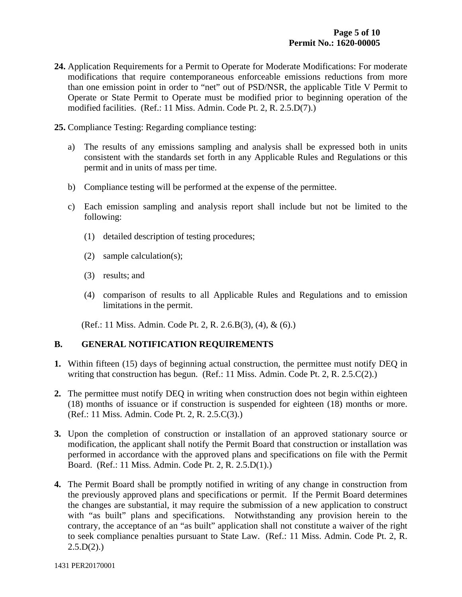- **24.** Application Requirements for a Permit to Operate for Moderate Modifications: For moderate modifications that require contemporaneous enforceable emissions reductions from more than one emission point in order to "net" out of PSD/NSR, the applicable Title V Permit to Operate or State Permit to Operate must be modified prior to beginning operation of the modified facilities. (Ref.: 11 Miss. Admin. Code Pt. 2, R. 2.5.D(7).)
- **25.** Compliance Testing: Regarding compliance testing:
	- a) The results of any emissions sampling and analysis shall be expressed both in units consistent with the standards set forth in any Applicable Rules and Regulations or this permit and in units of mass per time.
	- b) Compliance testing will be performed at the expense of the permittee.
	- c) Each emission sampling and analysis report shall include but not be limited to the following:
		- (1) detailed description of testing procedures;
		- (2) sample calculation(s);
		- (3) results; and
		- (4) comparison of results to all Applicable Rules and Regulations and to emission limitations in the permit.

(Ref.: 11 Miss. Admin. Code Pt. 2, R. 2.6.B(3), (4), & (6).)

# **B. GENERAL NOTIFICATION REQUIREMENTS**

- **1.** Within fifteen (15) days of beginning actual construction, the permittee must notify DEQ in writing that construction has begun. (Ref.: 11 Miss. Admin. Code Pt. 2, R. 2.5.C(2).)
- **2.** The permittee must notify DEQ in writing when construction does not begin within eighteen (18) months of issuance or if construction is suspended for eighteen (18) months or more. (Ref.: 11 Miss. Admin. Code Pt. 2, R. 2.5.C(3).)
- **3.** Upon the completion of construction or installation of an approved stationary source or modification, the applicant shall notify the Permit Board that construction or installation was performed in accordance with the approved plans and specifications on file with the Permit Board. (Ref.: 11 Miss. Admin. Code Pt. 2, R. 2.5.D(1).)
- **4.** The Permit Board shall be promptly notified in writing of any change in construction from the previously approved plans and specifications or permit. If the Permit Board determines the changes are substantial, it may require the submission of a new application to construct with "as built" plans and specifications. Notwithstanding any provision herein to the contrary, the acceptance of an "as built" application shall not constitute a waiver of the right to seek compliance penalties pursuant to State Law. (Ref.: 11 Miss. Admin. Code Pt. 2, R.  $2.5.D(2)$ .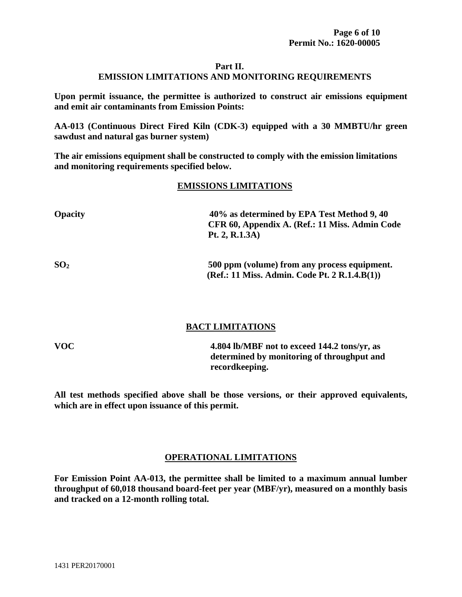# **Part II. EMISSION LIMITATIONS AND MONITORING REQUIREMENTS**

**Upon permit issuance, the permittee is authorized to construct air emissions equipment and emit air contaminants from Emission Points:** 

**AA-013 (Continuous Direct Fired Kiln (CDK-3) equipped with a 30 MMBTU/hr green sawdust and natural gas burner system)** 

**The air emissions equipment shall be constructed to comply with the emission limitations and monitoring requirements specified below.** 

# **EMISSIONS LIMITATIONS**

| <b>Opacity</b>  | 40% as determined by EPA Test Method 9, 40<br>CFR 60, Appendix A. (Ref.: 11 Miss. Admin Code<br>Pt. 2, R.1.3A) |
|-----------------|----------------------------------------------------------------------------------------------------------------|
| SO <sub>2</sub> | 500 ppm (volume) from any process equipment.<br>(Ref.: 11 Miss. Admin. Code Pt. 2 R.1.4.B(1))                  |

# **BACT LIMITATIONS**

**VOC 4.804 lb/MBF not to exceed 144.2 tons/yr, as determined by monitoring of throughput and recordkeeping.** 

**All test methods specified above shall be those versions, or their approved equivalents, which are in effect upon issuance of this permit.** 

# **OPERATIONAL LIMITATIONS**

**For Emission Point AA-013, the permittee shall be limited to a maximum annual lumber throughput of 60,018 thousand board-feet per year (MBF/yr), measured on a monthly basis and tracked on a 12-month rolling total.**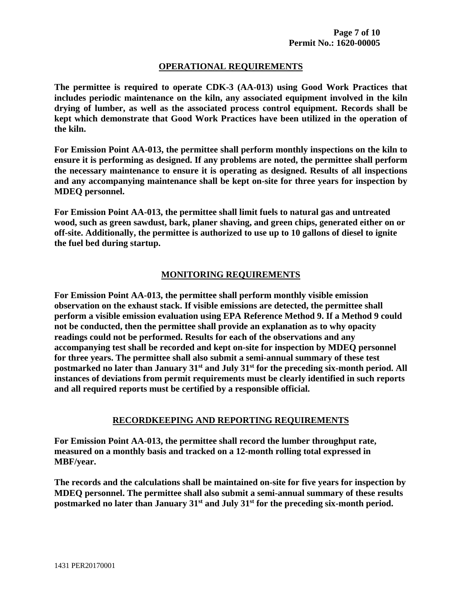#### **OPERATIONAL REQUIREMENTS**

**The permittee is required to operate CDK-3 (AA-013) using Good Work Practices that includes periodic maintenance on the kiln, any associated equipment involved in the kiln drying of lumber, as well as the associated process control equipment. Records shall be kept which demonstrate that Good Work Practices have been utilized in the operation of the kiln.** 

**For Emission Point AA-013, the permittee shall perform monthly inspections on the kiln to ensure it is performing as designed. If any problems are noted, the permittee shall perform the necessary maintenance to ensure it is operating as designed. Results of all inspections and any accompanying maintenance shall be kept on-site for three years for inspection by MDEQ personnel.** 

**For Emission Point AA-013, the permittee shall limit fuels to natural gas and untreated wood, such as green sawdust, bark, planer shaving, and green chips, generated either on or off-site. Additionally, the permittee is authorized to use up to 10 gallons of diesel to ignite the fuel bed during startup.** 

#### **MONITORING REQUIREMENTS**

**For Emission Point AA-013, the permittee shall perform monthly visible emission observation on the exhaust stack. If visible emissions are detected, the permittee shall perform a visible emission evaluation using EPA Reference Method 9. If a Method 9 could not be conducted, then the permittee shall provide an explanation as to why opacity readings could not be performed. Results for each of the observations and any accompanying test shall be recorded and kept on-site for inspection by MDEQ personnel for three years. The permittee shall also submit a semi-annual summary of these test postmarked no later than January 31st and July 31st for the preceding six-month period. All instances of deviations from permit requirements must be clearly identified in such reports and all required reports must be certified by a responsible official.** 

#### **RECORDKEEPING AND REPORTING REQUIREMENTS**

**For Emission Point AA-013, the permittee shall record the lumber throughput rate, measured on a monthly basis and tracked on a 12-month rolling total expressed in MBF/year.** 

**The records and the calculations shall be maintained on-site for five years for inspection by MDEQ personnel. The permittee shall also submit a semi-annual summary of these results postmarked no later than January 31st and July 31st for the preceding six-month period.**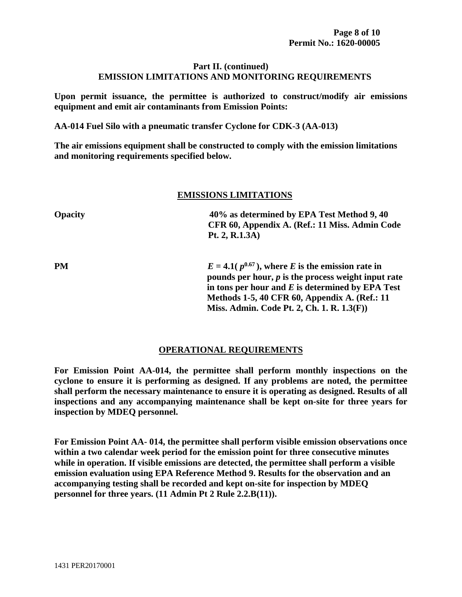#### **Part II. (continued) EMISSION LIMITATIONS AND MONITORING REQUIREMENTS**

**Upon permit issuance, the permittee is authorized to construct/modify air emissions equipment and emit air contaminants from Emission Points:** 

**AA-014 Fuel Silo with a pneumatic transfer Cyclone for CDK-3 (AA-013)** 

**The air emissions equipment shall be constructed to comply with the emission limitations and monitoring requirements specified below.** 

#### **EMISSIONS LIMITATIONS**

| <b>Opacity</b> | 40% as determined by EPA Test Method 9, 40<br>CFR 60, Appendix A. (Ref.: 11 Miss. Admin Code<br>Pt. 2, R.1.3A)                                                                                                                                                      |
|----------------|---------------------------------------------------------------------------------------------------------------------------------------------------------------------------------------------------------------------------------------------------------------------|
| PM             | $E = 4.1(p^{0.67})$ , where E is the emission rate in<br>pounds per hour, $p$ is the process weight input rate<br>in tons per hour and $E$ is determined by EPA Test<br>Methods 1-5, 40 CFR 60, Appendix A. (Ref.: 11<br>Miss. Admin. Code Pt. 2, Ch. 1. R. 1.3(F)) |

#### **OPERATIONAL REQUIREMENTS**

**For Emission Point AA-014, the permittee shall perform monthly inspections on the cyclone to ensure it is performing as designed. If any problems are noted, the permittee shall perform the necessary maintenance to ensure it is operating as designed. Results of all inspections and any accompanying maintenance shall be kept on-site for three years for inspection by MDEQ personnel.** 

**For Emission Point AA- 014, the permittee shall perform visible emission observations once within a two calendar week period for the emission point for three consecutive minutes while in operation. If visible emissions are detected, the permittee shall perform a visible emission evaluation using EPA Reference Method 9. Results for the observation and an accompanying testing shall be recorded and kept on-site for inspection by MDEQ personnel for three years. (11 Admin Pt 2 Rule 2.2.B(11)).**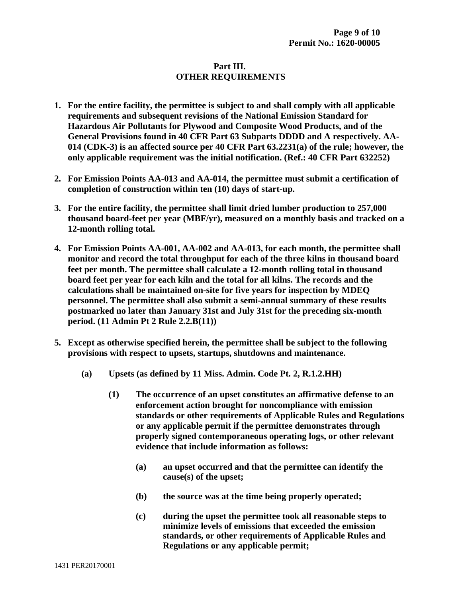# **Part III. OTHER REQUIREMENTS**

- **1. For the entire facility, the permittee is subject to and shall comply with all applicable requirements and subsequent revisions of the National Emission Standard for Hazardous Air Pollutants for Plywood and Composite Wood Products, and of the General Provisions found in 40 CFR Part 63 Subparts DDDD and A respectively. AA-014 (CDK-3) is an affected source per 40 CFR Part 63.2231(a) of the rule; however, the only applicable requirement was the initial notification. (Ref.: 40 CFR Part 632252)**
- **2. For Emission Points AA-013 and AA-014, the permittee must submit a certification of completion of construction within ten (10) days of start-up.**
- **3. For the entire facility, the permittee shall limit dried lumber production to 257,000 thousand board-feet per year (MBF/yr), measured on a monthly basis and tracked on a 12-month rolling total.**
- **4. For Emission Points AA-001, AA-002 and AA-013, for each month, the permittee shall monitor and record the total throughput for each of the three kilns in thousand board feet per month. The permittee shall calculate a 12-month rolling total in thousand board feet per year for each kiln and the total for all kilns. The records and the calculations shall be maintained on-site for five years for inspection by MDEQ personnel. The permittee shall also submit a semi-annual summary of these results postmarked no later than January 31st and July 31st for the preceding six-month period. (11 Admin Pt 2 Rule 2.2.B(11))**
- **5. Except as otherwise specified herein, the permittee shall be subject to the following provisions with respect to upsets, startups, shutdowns and maintenance.** 
	- **(a) Upsets (as defined by 11 Miss. Admin. Code Pt. 2, R.1.2.HH)** 
		- **(1) The occurrence of an upset constitutes an affirmative defense to an enforcement action brought for noncompliance with emission standards or other requirements of Applicable Rules and Regulations or any applicable permit if the permittee demonstrates through properly signed contemporaneous operating logs, or other relevant evidence that include information as follows:** 
			- **(a) an upset occurred and that the permittee can identify the cause(s) of the upset;**
			- **(b) the source was at the time being properly operated;**
			- **(c) during the upset the permittee took all reasonable steps to minimize levels of emissions that exceeded the emission standards, or other requirements of Applicable Rules and Regulations or any applicable permit;**